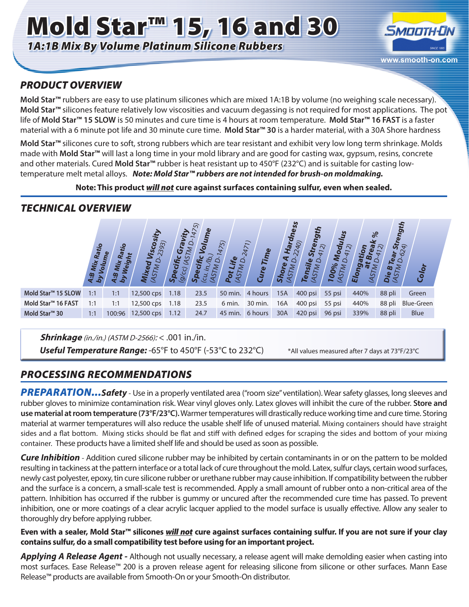# Mold Star<sup>m</sup> 15, 16 and 30 *1A:1B Mix By Volume Platinum Silicone Rubbers*



## *PRODUCT OVERVIEW*

**Mold Star™** rubbers are easy to use platinum silicones which are mixed 1A:1B by volume (no weighing scale necessary). Mold Star<sup>™</sup> silicones feature relatively low viscosities and vacuum degassing is not required for most applications. The pot life of **Mold Star™ 15 SLOW** is 50 minutes and cure time is 4 hours at room temperature. **Mold Star™ 16 FAST** is a faster material with a 6 minute pot life and 30 minute cure time. **Mold Star™ 30** is a harder material, with a 30A Shore hardness

**Mold Star™** silicones cure to soft, strong rubbers which are tear resistant and exhibit very low long term shrinkage. Molds made with **Mold Star™** will last a long time in your mold library and are good for casting wax, gypsum, resins, concrete and other materials. Cured **Mold Star™** rubber is heat resistant up to 450°F (232°C) and is suitable for casting lowtemperature melt metal alloys. *Note: Mold Star™ rubbers are not intended for brush-on moldmaking.*

#### **Note: This product** *will not* **cure against surfaces containing sulfur, even when sealed.**

# *TECHNICAL OVERVIEW*

|                                | Ratio<br>a:P | چ.     | 393)       | ပ<br>ທ | ల్లి | $\sqrt{5}$<br>$\overline{S}$<br>٥ | $\overline{ }$<br><b>Tim</b><br>$\boldsymbol{v}$<br>ີ້ວ່ | $\bullet$<br>ភ | ess<br>σ<br>مح | od<br>$\widehat{\infty}$<br>00%<br>$\overline{\phantom{0}}$ | $\frac{8}{6}$<br>$\sim$<br>ဌှိ | $rac{3r}{624}$<br>œ.<br>മ<br>⊻ | <b>Hibu<sub>a.</sub></b><br>Ö<br>Color |
|--------------------------------|--------------|--------|------------|--------|------|-----------------------------------|----------------------------------------------------------|----------------|----------------|-------------------------------------------------------------|--------------------------------|--------------------------------|----------------------------------------|
| Mold Star <sup>™</sup> 15 SLOW | 1:1          | 1:1    | 12,500 cps | 1.18   | 23.5 | 50 min.                           | 4 hours                                                  | 15A            | 400 psi        | 55 psi                                                      | 440%                           | 88 pli                         | Green                                  |
| Mold Star <sup>™</sup> 16 FAST | 1:1          | 1:1    | 12,500 cps | 1.18   | 23.5 | 6 min.                            | 30 min.                                                  | 16A            | 400 psi        | 55 psi                                                      | 440%                           | 88 pli                         | <b>Blue-Green</b>                      |
| Mold Star <sup>™</sup> 30      | 1:1          | 100:96 | 12,500 cps | 1.12   | 24.7 |                                   | 45 min. 6 hours                                          | 30A            | 420 psi        | 96 psi                                                      | 339%                           | 88 pli                         | Blue                                   |

**Shrinkage** (in./in.) (ASTM D-2566): < .001 in./in.

Useful Temperature Range: -65°F to 450°F (-53°C to 232°C) \*All values measured after 7 days at 73°F/23°C

# *PROCESSING RECOMMENDATIONS*

*PREPARATION...Safety* - Use in a properly ventilated area ("room size" ventilation). Wear safety glasses, long sleeves and rubber gloves to minimize contamination risk. Wear vinyl gloves only. Latex gloves will inhibit the cure of the rubber. **Store and use material at room temperature (73°F/23°C).** Warmer temperatures will drastically reduce working time and cure time. Storing material at warmer temperatures will also reduce the usable shelf life of unused material. Mixing containers should have straight sides and a flat bottom. Mixing sticks should be flat and stiff with defined edges for scraping the sides and bottom of your mixing container. These products have a limited shelf life and should be used as soon as possible.

*Cure Inhibition* - Addition cured silicone rubber may be inhibited by certain contaminants in or on the pattern to be molded resulting in tackiness at the pattern interface or a total lack of cure throughout the mold. Latex, sulfur clays, certain wood surfaces, newly cast polyester, epoxy, tin cure silicone rubber or urethane rubber may cause inhibition. If compatibility between the rubber and the surface is a concern, a small-scale test is recommended. Apply a small amount of rubber onto a non-critical area of the pattern. Inhibition has occurred if the rubber is gummy or uncured after the recommended cure time has passed. To prevent inhibition, one or more coatings of a clear acrylic lacquer applied to the model surface is usually effective. Allow any sealer to thoroughly dry before applying rubber.

**Even with a sealer, Mold Star™ silicones** *will not* **cure against surfaces containing sulfur. If you are not sure if your clay contains sulfur, do a small compatibility test before using for an important project.**

*Applying A Release Agent -* Although not usually necessary, a release agent will make demolding easier when casting into most surfaces. Ease Release™ 200 is a proven release agent for releasing silicone from silicone or other surfaces. Mann Ease Release™ products are available from Smooth-On or your Smooth-On distributor.